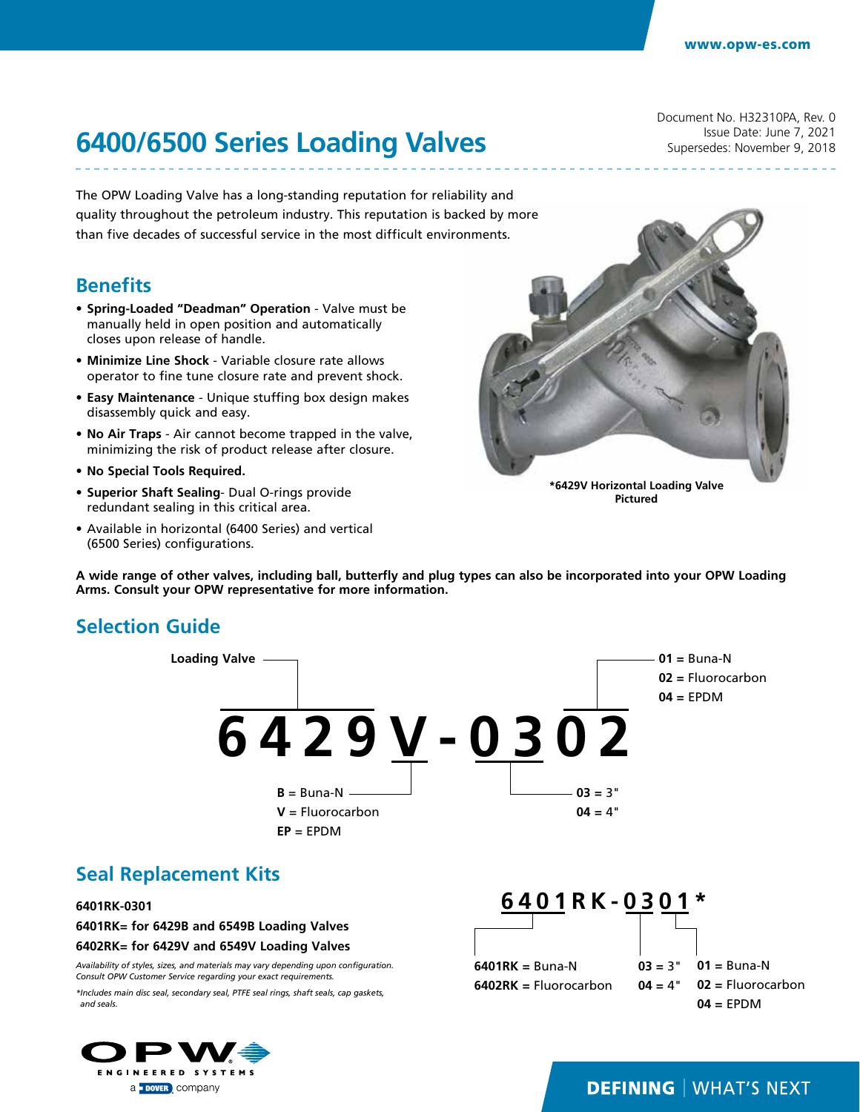Document No. H32310PA, Rev. 0 Issue Date: June 7, 2021 Supersedes: November 9, 2018

# **6400/6500 Series Loading Valves**

The OPW Loading Valve has a long-standing reputation for reliability and quality throughout the petroleum industry. This reputation is backed by more than five decades of successful service in the most difficult environments.

#### **Benefits**

- **• Spring-Loaded "Deadman" Operation** Valve must be manually held in open position and automatically closes upon release of handle.
- **• Minimize Line Shock** Variable closure rate allows operator to fine tune closure rate and prevent shock.
- **• Easy Maintenance** Unique stuffing box design makes disassembly quick and easy.
- **• No Air Traps** Air cannot become trapped in the valve, minimizing the risk of product release after closure.
- **• No Special Tools Required.**
- **• Superior Shaft Sealing** Dual O-rings provide redundant sealing in this critical area.
- Available in horizontal (6400 Series) and vertical (6500 Series) configurations.

**\*6429V Horizontal Loading Valve Pictured**

**A wide range of other valves, including ball, butterfly and plug types can also be incorporated into your OPW Loading Arms. Consult your OPW representative for more information.**

### **Selection Guide**



### **Seal Replacement Kits**

#### **6401RK-0301**

**6401RK= for 6429B and 6549B Loading Valves**

**6402RK= for 6429V and 6549V Loading Valves**

*Availability of styles, sizes, and materials may vary depending upon configuration. Consult OPW Customer Service regarding your exact requirements.*

*\*Includes main disc seal, secondary seal, PTFE seal rings, shaft seals, cap gaskets, and seals.*



**6401RK-0301\***

**6401RK =** Buna-N **6402RK =** Fluorocarbon **03 =** 3"  $04 = 4"$ **01 =** Buna-N **02 =** Fluorocarbon **04 =** EPDM

#### **DEFINING | WHAT'S NEXT**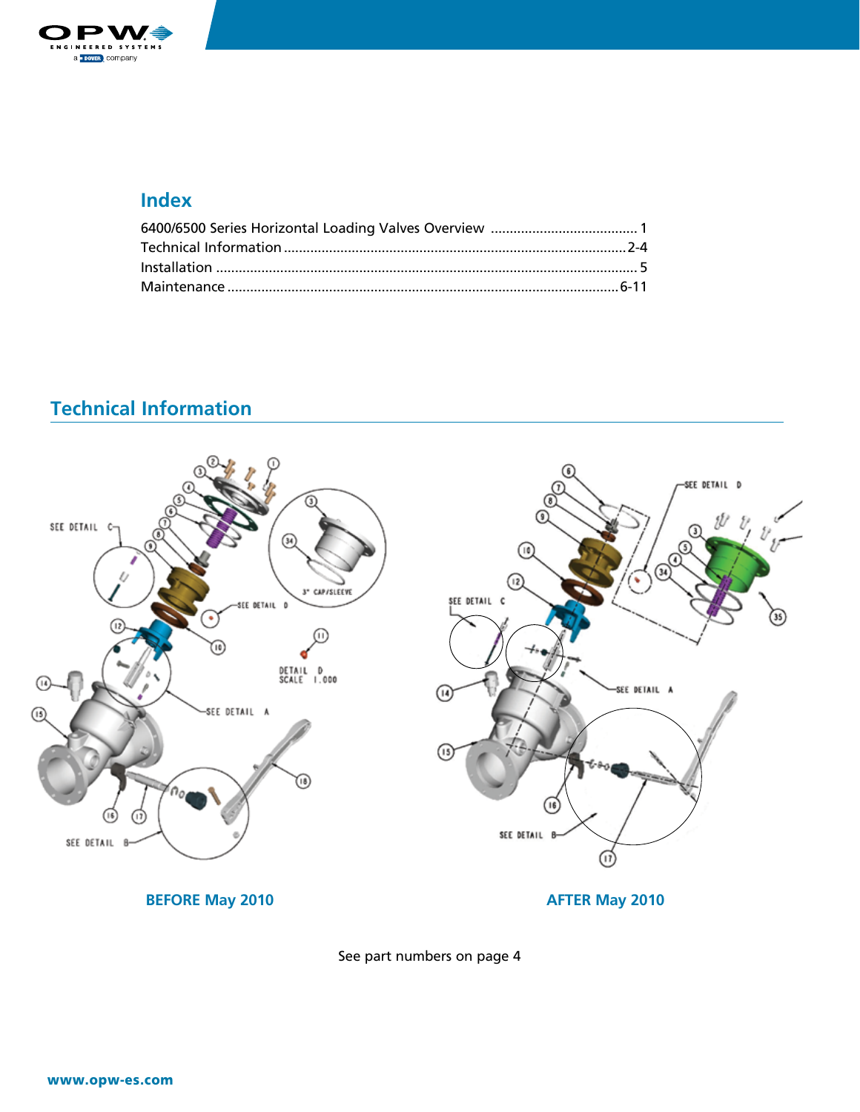

### **Index**

# **Technical Information**



See part numbers on page 4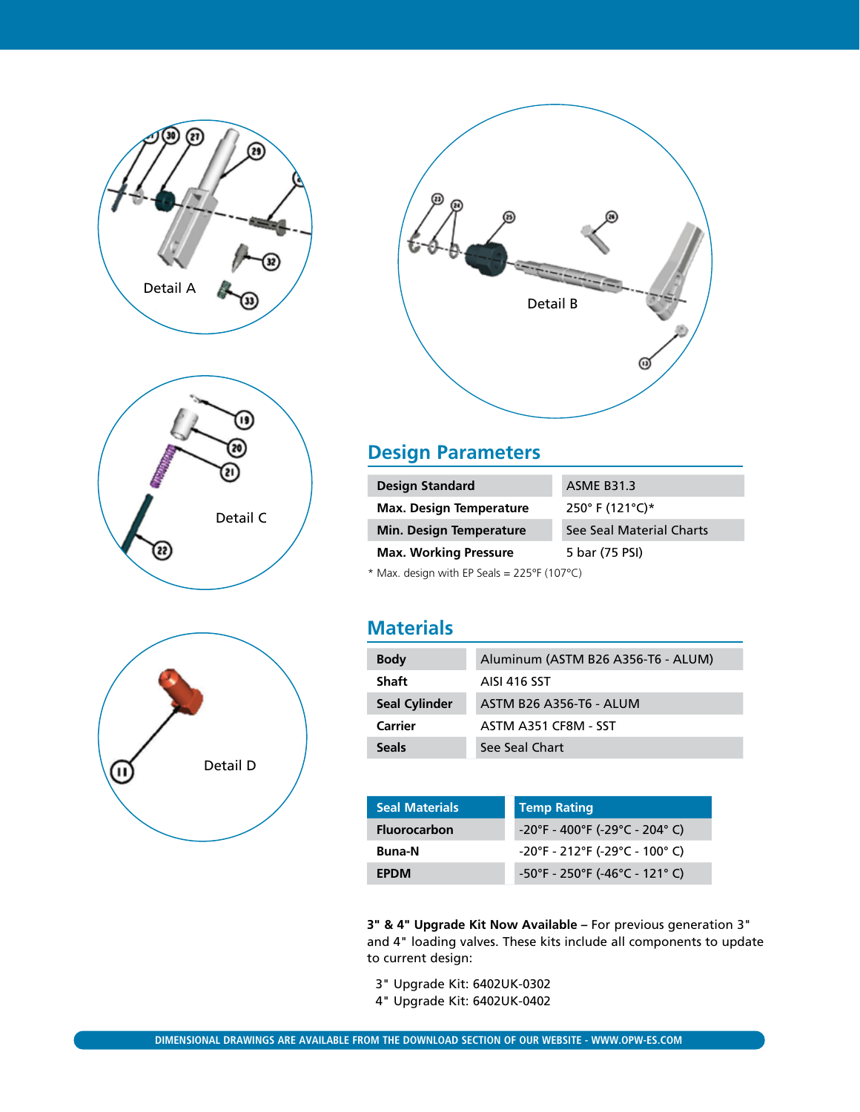







## **Design Parameters**

| <b>Design Standard</b>         | <b>ASME B31.3</b>        |  |  |  |
|--------------------------------|--------------------------|--|--|--|
| <b>Max. Design Temperature</b> | 250° F (121°C)*          |  |  |  |
| <b>Min. Design Temperature</b> | See Seal Material Charts |  |  |  |
| <b>Max. Working Pressure</b>   | 5 bar (75 PSI)           |  |  |  |
|                                |                          |  |  |  |

 $*$  Max. design with EP Seals = 225°F (107°C)

### **Materials**

| <b>Body</b>          | Aluminum (ASTM B26 A356-T6 - ALUM) |
|----------------------|------------------------------------|
| <b>Shaft</b>         | AISI 416 SST                       |
| <b>Seal Cylinder</b> | ASTM B26 A356-T6 - ALUM            |
| Carrier              | ASTM A351 CF8M - SST               |
| <b>Seals</b>         | See Seal Chart                     |

| <b>Seal Materials</b> | <b>Temp Rating</b>                                                       |
|-----------------------|--------------------------------------------------------------------------|
| <b>Fluorocarbon</b>   | $-20^{\circ}$ F - 400 $^{\circ}$ F (-29 $^{\circ}$ C - 204 $^{\circ}$ C) |
| <b>Buna-N</b>         | $-20^{\circ}$ F - 212 $^{\circ}$ F (-29 $^{\circ}$ C - 100 $^{\circ}$ C) |
| <b>FPDM</b>           | $-50^{\circ}$ F - 250 $^{\circ}$ F (-46 $^{\circ}$ C - 121 $^{\circ}$ C) |

**3" & 4" Upgrade Kit Now Available –** For previous generation 3" and 4" loading valves. These kits include all components to update to current design:

3" Upgrade Kit: 6402UK-0302

4" Upgrade Kit: 6402UK-0402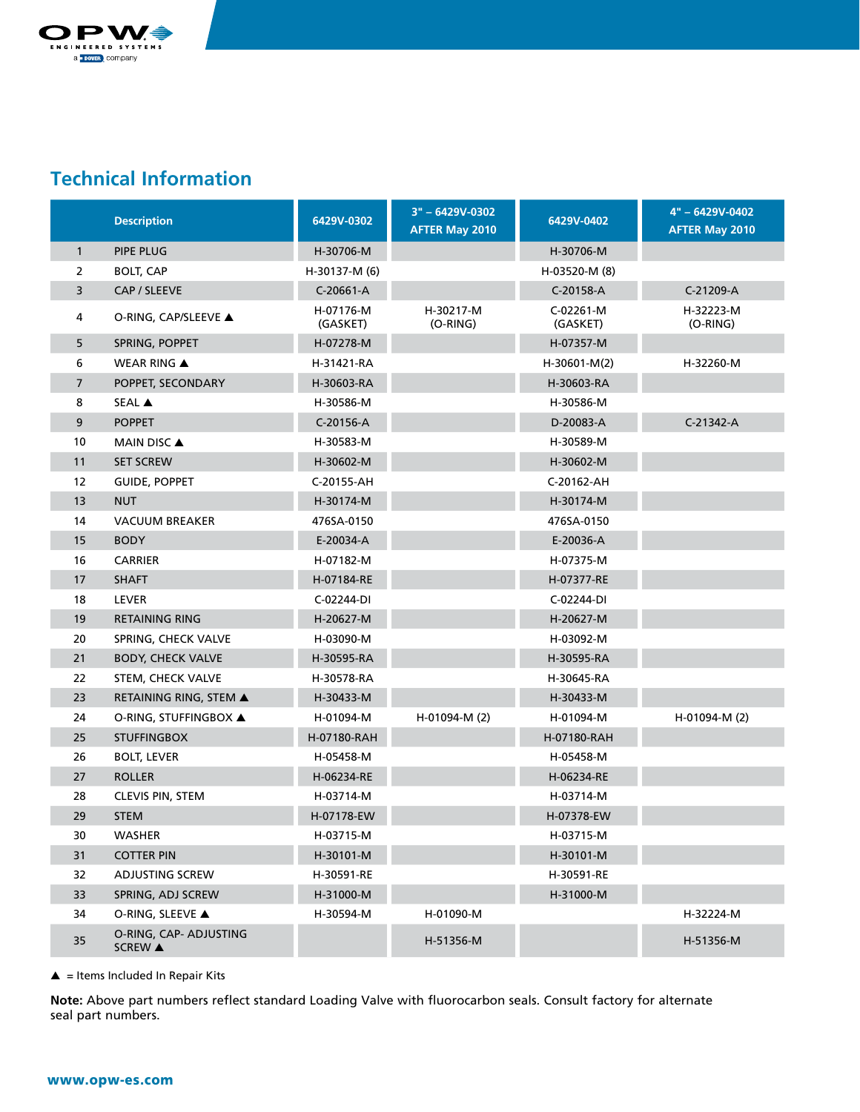

### **Technical Information**

|                | <b>Description</b>                       | 6429V-0302            | 3" - 6429V-0302<br><b>AFTER May 2010</b> | 6429V-0402            | 4" - 6429V-0402<br><b>AFTER May 2010</b> |
|----------------|------------------------------------------|-----------------------|------------------------------------------|-----------------------|------------------------------------------|
| $\mathbf{1}$   | PIPE PLUG                                | H-30706-M             |                                          | H-30706-M             |                                          |
| 2              | <b>BOLT, CAP</b>                         | H-30137-M (6)         |                                          | H-03520-M (8)         |                                          |
| 3              | CAP / SLEEVE                             | C-20661-A             |                                          | C-20158-A             | C-21209-A                                |
| 4              | O-RING, CAP/SLEEVE ▲                     | H-07176-M<br>(GASKET) | H-30217-M<br>$(O-RING)$                  | C-02261-M<br>(GASKET) | H-32223-M<br>$(O-RING)$                  |
| 5              | SPRING, POPPET                           | H-07278-M             |                                          | H-07357-M             |                                          |
| 6              | <b>WEAR RING ▲</b>                       | H-31421-RA            |                                          | H-30601-M(2)          | H-32260-M                                |
| $\overline{7}$ | POPPET, SECONDARY                        | H-30603-RA            |                                          | H-30603-RA            |                                          |
| 8              | SEAL A                                   | H-30586-M             |                                          | H-30586-M             |                                          |
| 9              | <b>POPPET</b>                            | C-20156-A             |                                          | D-20083-A             | C-21342-A                                |
| 10             | <b>MAIN DISC ▲</b>                       | H-30583-M             |                                          | H-30589-M             |                                          |
| 11             | <b>SET SCREW</b>                         | H-30602-M             |                                          | H-30602-M             |                                          |
| 12             | <b>GUIDE, POPPET</b>                     | C-20155-AH            |                                          | C-20162-AH            |                                          |
| 13             | <b>NUT</b>                               | H-30174-M             |                                          | H-30174-M             |                                          |
| 14             | <b>VACUUM BREAKER</b>                    | 476SA-0150            |                                          | 476SA-0150            |                                          |
| 15             | <b>BODY</b>                              | E-20034-A             |                                          | E-20036-A             |                                          |
| 16             | <b>CARRIER</b>                           | H-07182-M             |                                          | H-07375-M             |                                          |
| 17             | <b>SHAFT</b>                             | H-07184-RE            |                                          | H-07377-RE            |                                          |
| 18             | <b>LEVER</b>                             | C-02244-DI            |                                          | C-02244-DI            |                                          |
| 19             | <b>RETAINING RING</b>                    | H-20627-M             |                                          | H-20627-M             |                                          |
| 20             | SPRING, CHECK VALVE                      | H-03090-M             |                                          | H-03092-M             |                                          |
| 21             | <b>BODY, CHECK VALVE</b>                 | H-30595-RA            |                                          | H-30595-RA            |                                          |
| 22             | STEM, CHECK VALVE                        | H-30578-RA            |                                          | H-30645-RA            |                                          |
| 23             | RETAINING RING, STEM ▲                   | H-30433-M             |                                          | H-30433-M             |                                          |
| 24             | O-RING, STUFFINGBOX ▲                    | H-01094-M             | H-01094-M (2)                            | H-01094-M             | H-01094-M (2)                            |
| 25             | <b>STUFFINGBOX</b>                       | H-07180-RAH           |                                          | H-07180-RAH           |                                          |
| 26             | <b>BOLT, LEVER</b>                       | H-05458-M             |                                          | H-05458-M             |                                          |
| 27             | <b>ROLLER</b>                            | H-06234-RE            |                                          | H-06234-RE            |                                          |
| 28             | <b>CLEVIS PIN, STEM</b>                  | H-03714-M             |                                          | H-03714-M             |                                          |
| 29             | <b>STEM</b>                              | H-07178-EW            |                                          | H-07378-EW            |                                          |
| 30             | WASHER                                   | H-03715-M             |                                          | H-03715-M             |                                          |
| 31             | <b>COTTER PIN</b>                        | H-30101-M             |                                          | H-30101-M             |                                          |
| 32             | ADJUSTING SCREW                          | H-30591-RE            |                                          | H-30591-RE            |                                          |
| 33             | SPRING, ADJ SCREW                        | H-31000-M             |                                          | H-31000-M             |                                          |
| 34             | O-RING, SLEEVE ▲                         | H-30594-M             | H-01090-M                                |                       | H-32224-M                                |
| 35             | O-RING, CAP- ADJUSTING<br><b>SCREW</b> ▲ |                       | H-51356-M                                |                       | H-51356-M                                |

 $\triangle$  = Items Included In Repair Kits

**Note:** Above part numbers reflect standard Loading Valve with fluorocarbon seals. Consult factory for alternate seal part numbers.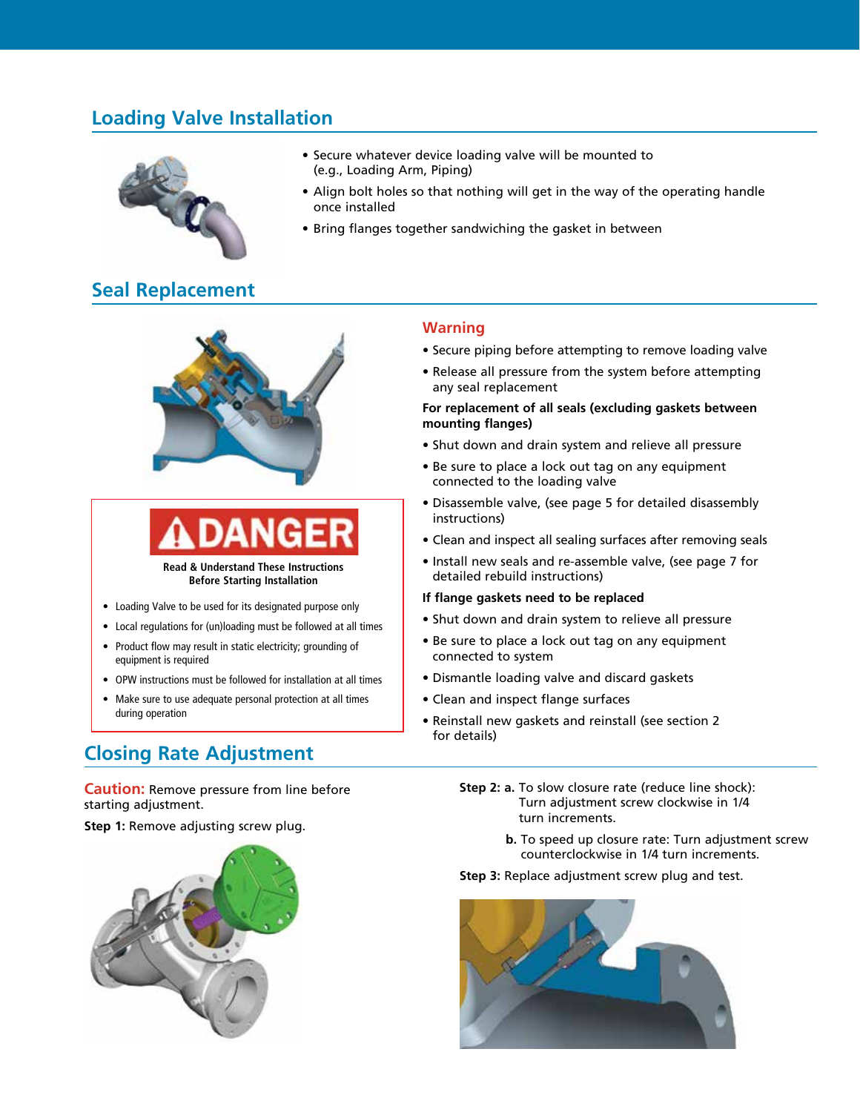### **Loading Valve Installation**



- Secure whatever device loading valve will be mounted to (e.g., Loading Arm, Piping)
- Align bolt holes so that nothing will get in the way of the operating handle once installed
- Bring flanges together sandwiching the gasket in between

### **Seal Replacement**



**Read & Understand These Instructions Before Starting Installation**

- Loading Valve to be used for its designated purpose only
- Local regulations for (un)loading must be followed at all times
- Product flow may result in static electricity; grounding of equipment is required
- OPW instructions must be followed for installation at all times
- Make sure to use adequate personal protection at all times during operation

### **Closing Rate Adjustment**

**Caution:** Remove pressure from line before starting adjustment.

**Step 1:** Remove adjusting screw plug.



#### **Warning**

- Secure piping before attempting to remove loading valve
- Release all pressure from the system before attempting any seal replacement

#### **For replacement of all seals (excluding gaskets between mounting flanges)**

- Shut down and drain system and relieve all pressure
- Be sure to place a lock out tag on any equipment connected to the loading valve
- Disassemble valve, (see page 5 for detailed disassembly instructions)
- Clean and inspect all sealing surfaces after removing seals
- Install new seals and re-assemble valve, (see page 7 for detailed rebuild instructions)

#### **If flange gaskets need to be replaced**

- Shut down and drain system to relieve all pressure
- Be sure to place a lock out tag on any equipment connected to system
- Dismantle loading valve and discard gaskets
- Clean and inspect flange surfaces
- Reinstall new gaskets and reinstall (see section 2 for details)
	- **Step 2: a.** To slow closure rate (reduce line shock): Turn adjustment screw clockwise in 1/4 turn increments.
		- **b.** To speed up closure rate: Turn adjustment screw counterclockwise in 1/4 turn increments.
	- **Step 3:** Replace adjustment screw plug and test.

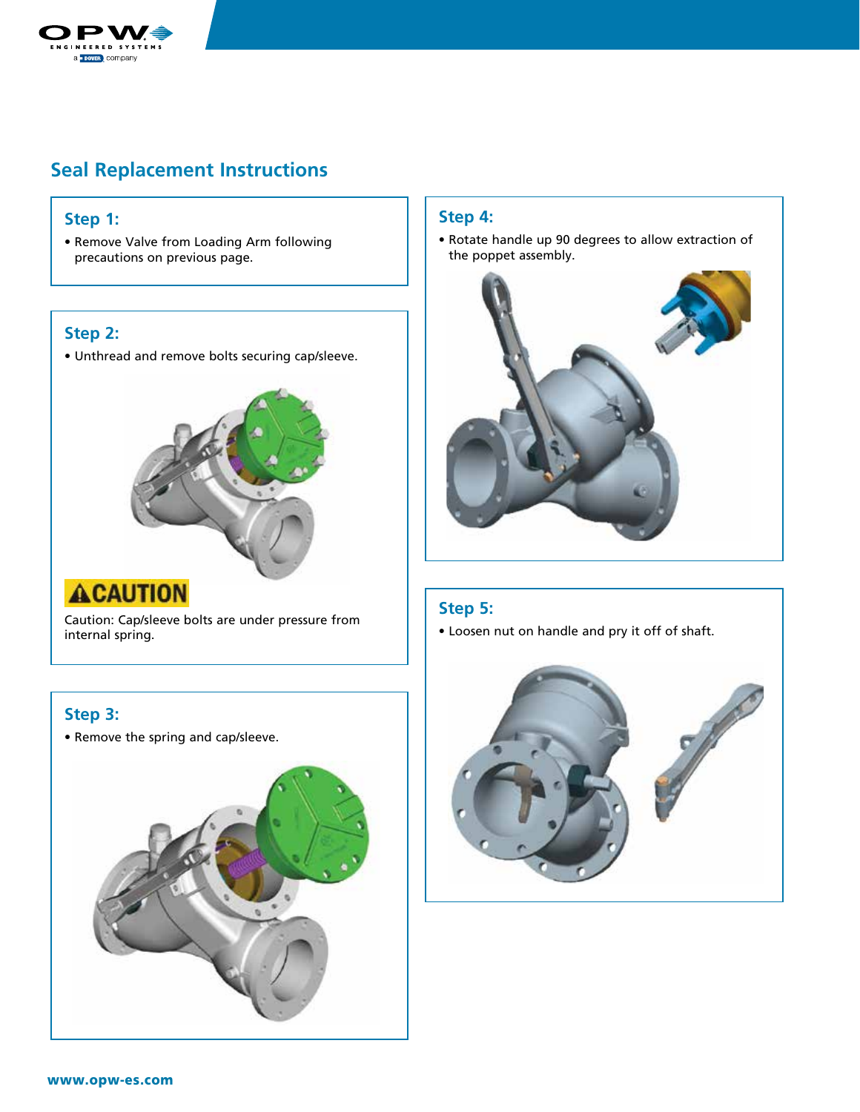

### **Seal Replacement Instructions**

#### **Step 1:**

• Remove Valve from Loading Arm following precautions on previous page.

#### **Step 2:**

• Unthread and remove bolts securing cap/sleeve.



# **ACAUTION**

Caution: Cap/sleeve bolts are under pressure from internal spring.

#### **Step 3:**

• Remove the spring and cap/sleeve.



#### **Step 4:**

• Rotate handle up 90 degrees to allow extraction of the poppet assembly.



#### **Step 5:**

• Loosen nut on handle and pry it off of shaft.

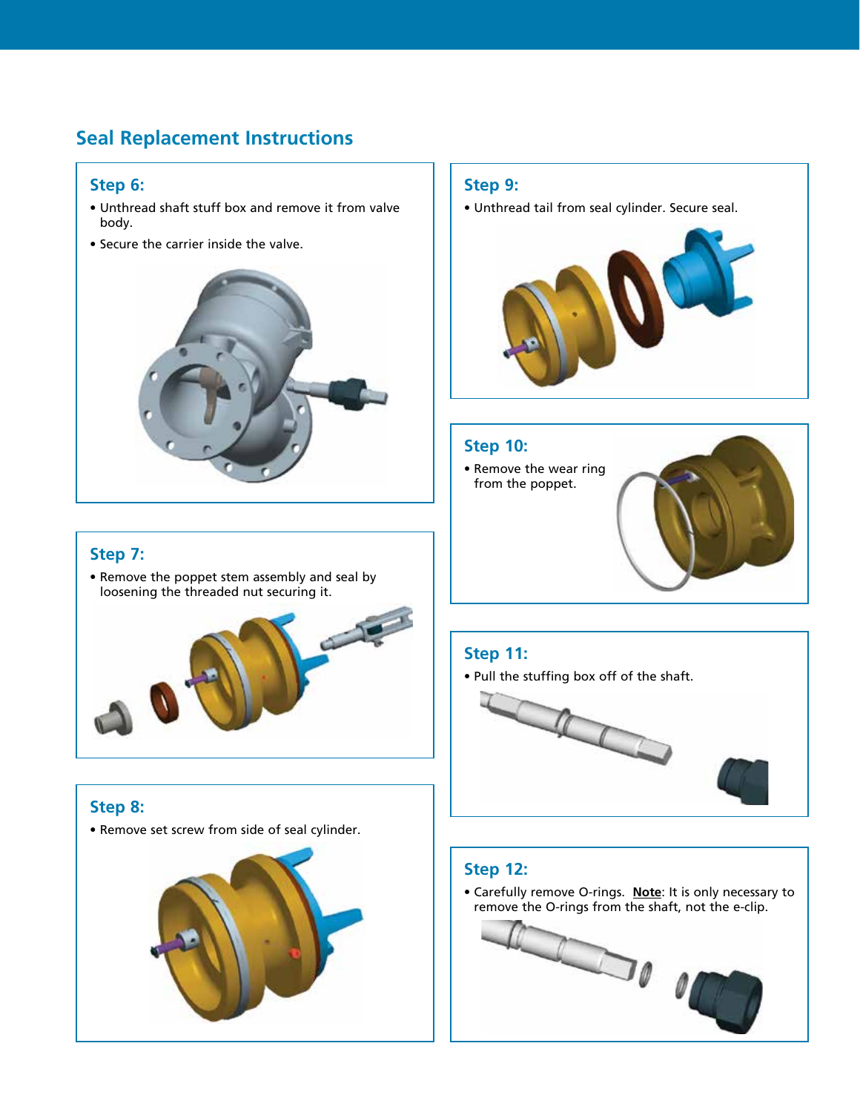### **Seal Replacement Instructions**

#### **Step 6:**

- Unthread shaft stuff box and remove it from valve body.
- Secure the carrier inside the valve.



#### **Step 9:**

• Unthread tail from seal cylinder. Secure seal.



#### **Step 10:**

• Remove the wear ring from the poppet.

#### **Step 7:**

• Remove the poppet stem assembly and seal by loosening the threaded nut securing it.



### **Step 8:**

• Remove set screw from side of seal cylinder.



### **Step 11:**

• Pull the stuffing box off of the shaft.



### **Step 12:**

• Carefully remove O-rings. **Note**: It is only necessary to remove the O-rings from the shaft, not the e-clip.

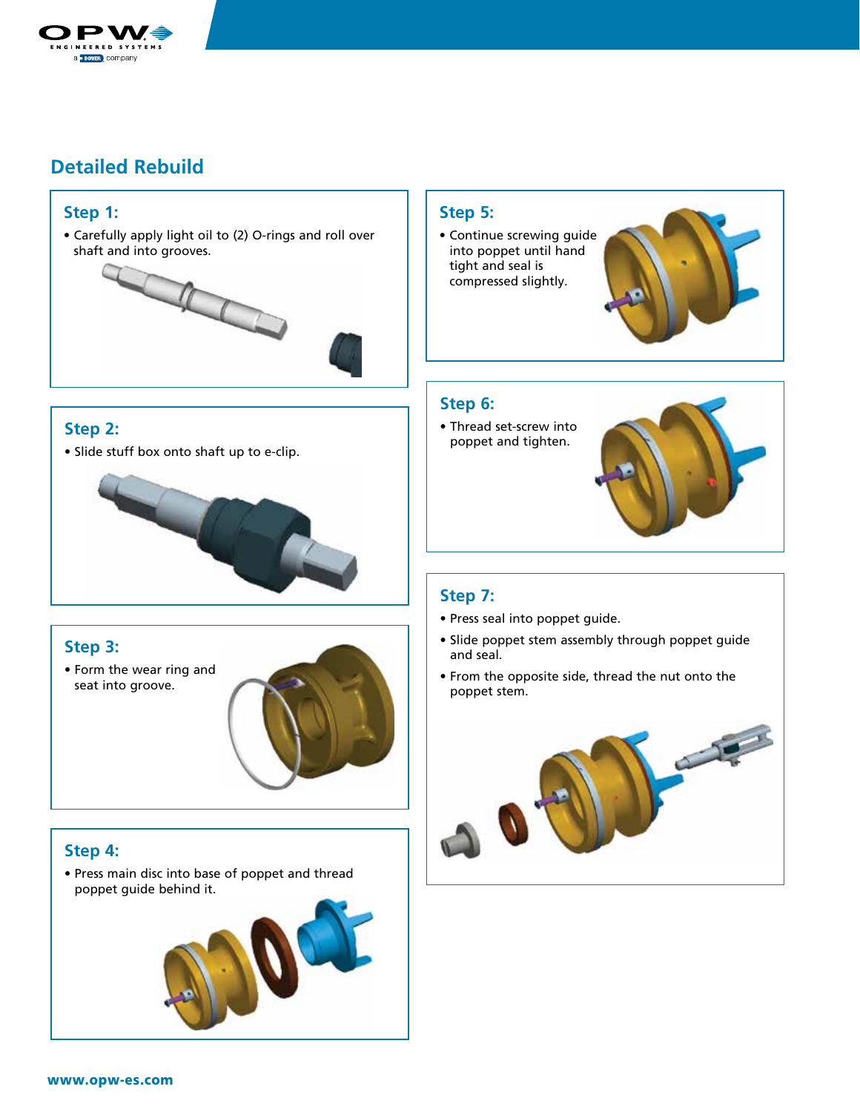

#### **Step 1:**

• Carefully apply light oil to (2) O-rings and roll over shaft and into grooves.



#### **Step 2:**

• Slide stuff box onto shaft up to e-clip.



### **Step 3:**

• Form the wear ring and seat into groove.



#### **Step 4:**

• Press main disc into base of poppet and thread poppet guide behind it.



#### **Step 5:**

• Continue screwing guide into poppet until hand tight and seal is compressed slightly.



#### **Step 6:**

• Thread set-screw into poppet and tighten.



### **Step 7:**

- Press seal into poppet guide.
- Slide poppet stem assembly through poppet guide and seal.
- From the opposite side, thread the nut onto the poppet stem.

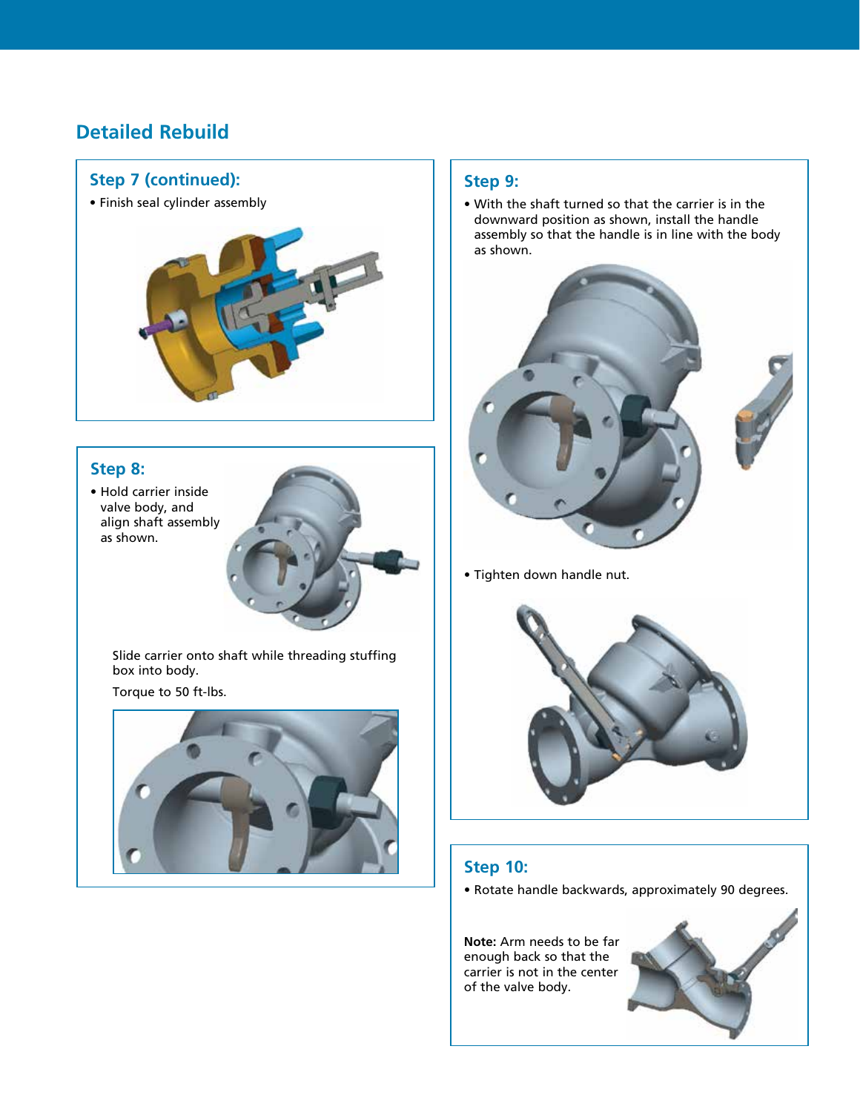

#### **Step 8:**

• Hold carrier inside valve body, and align shaft assembly as shown.

> Slide carrier onto shaft while threading stuffing box into body.

Torque to 50 ft-lbs.



#### **Step 9:**

• With the shaft turned so that the carrier is in the downward position as shown, install the handle assembly so that the handle is in line with the body as shown.



• Tighten down handle nut.



### **Step 10:**

• Rotate handle backwards, approximately 90 degrees.

**Note:** Arm needs to be far enough back so that the carrier is not in the center of the valve body.

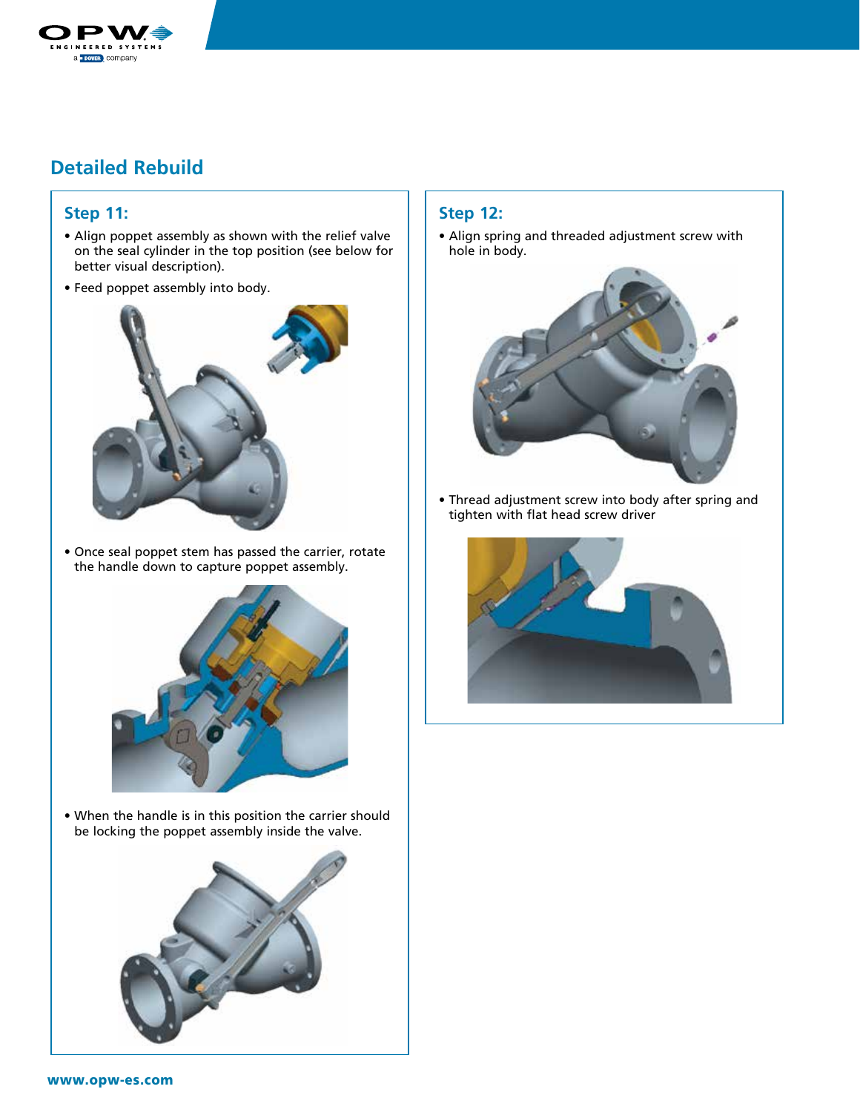

#### **Step 11:**

- Align poppet assembly as shown with the relief valve on the seal cylinder in the top position (see below for better visual description).
- Feed poppet assembly into body.



• Once seal poppet stem has passed the carrier, rotate the handle down to capture poppet assembly.



• When the handle is in this position the carrier should be locking the poppet assembly inside the valve.



#### **Step 12:**

• Align spring and threaded adjustment screw with hole in body.



• Thread adjustment screw into body after spring and tighten with flat head screw driver

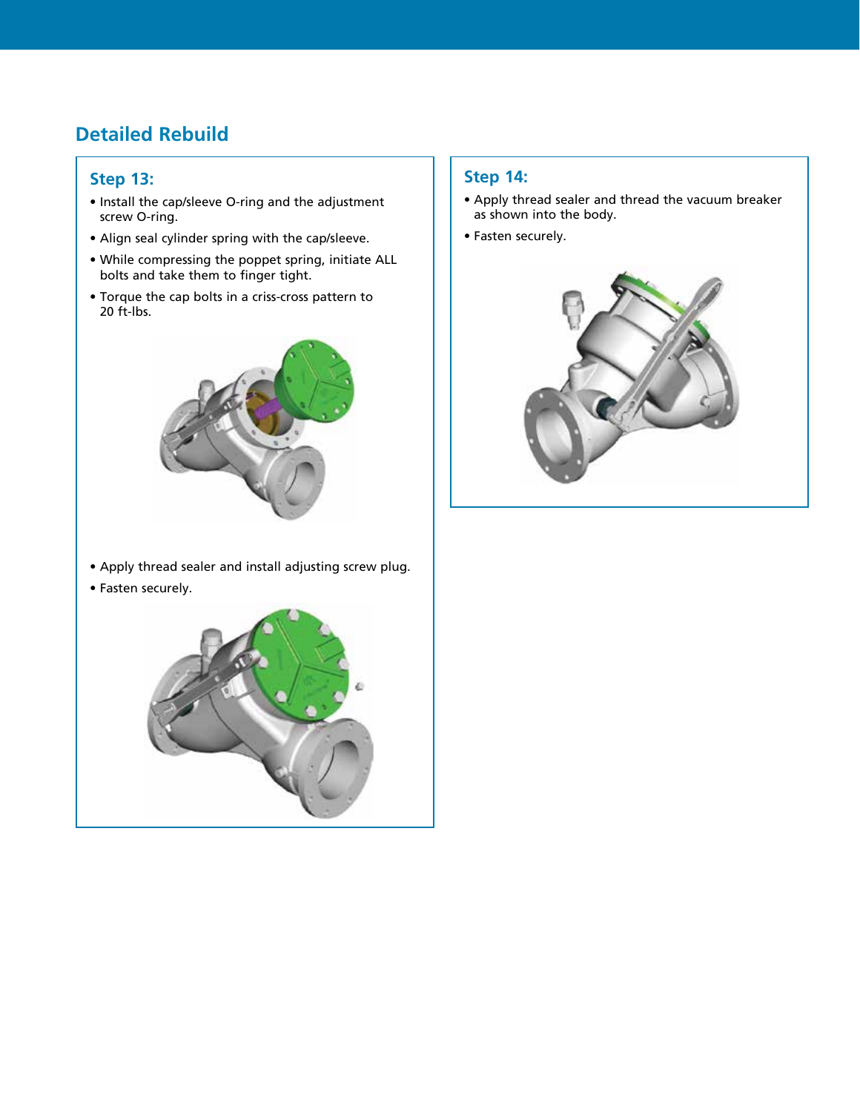#### **Step 13:**

- Install the cap/sleeve O-ring and the adjustment screw O-ring.
- Align seal cylinder spring with the cap/sleeve.
- While compressing the poppet spring, initiate ALL bolts and take them to finger tight.
- Torque the cap bolts in a criss-cross pattern to 20 ft-lbs.



- Apply thread sealer and install adjusting screw plug.
- Fasten securely.



#### **Step 14:**

- Apply thread sealer and thread the vacuum breaker as shown into the body.
- Fasten securely.